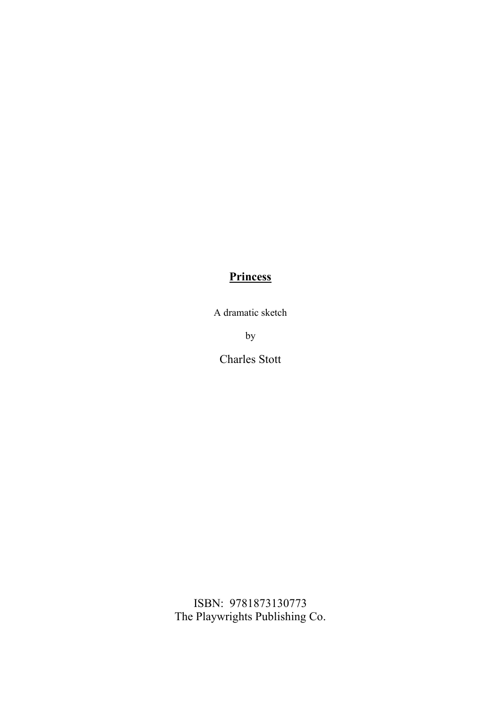# **Princess**

A dramatic sketch

by

Charles Stott

ISBN: 9781873130773 The Playwrights Publishing Co.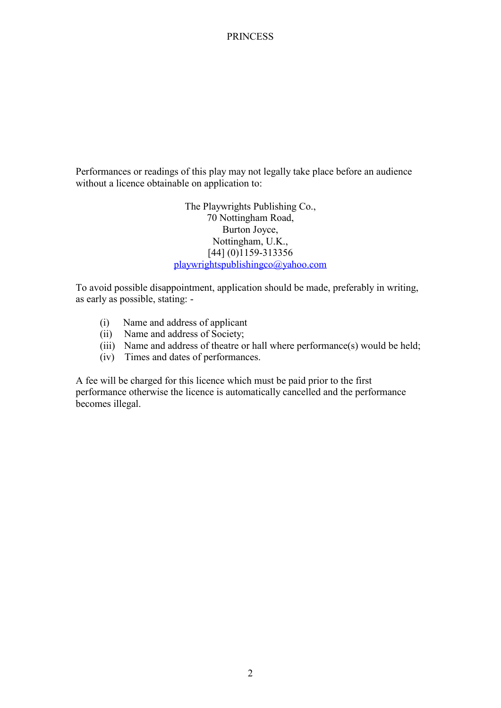Performances or readings of this play may not legally take place before an audience without a licence obtainable on application to:

> The Playwrights Publishing Co., 70 Nottingham Road, Burton Joyce, Nottingham, U.K., [44] (0)1159-313356 playwrightspublishingco@yahoo.com

To avoid possible disappointment, application should be made, preferably in writing, as early as possible, stating: -

- (i) Name and address of applicant
- (ii) Name and address of Society;
- (iii) Name and address of theatre or hall where performance(s) would be held;
- (iv) Times and dates of performances.

A fee will be charged for this licence which must be paid prior to the first performance otherwise the licence is automatically cancelled and the performance becomes illegal.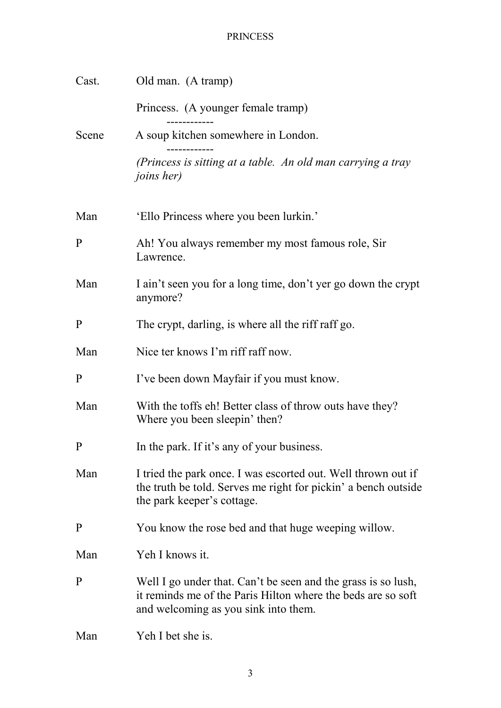| Cast.        | Old man. (A tramp)                                                                                                                                                    |
|--------------|-----------------------------------------------------------------------------------------------------------------------------------------------------------------------|
|              | Princess. (A younger female tramp)                                                                                                                                    |
| Scene        | A soup kitchen somewhere in London.                                                                                                                                   |
|              | (Princess is sitting at a table. An old man carrying a tray<br><i>joins her)</i>                                                                                      |
| Man          | 'Ello Princess where you been lurkin.'                                                                                                                                |
| $\mathbf{P}$ | Ah! You always remember my most famous role, Sir<br>Lawrence.                                                                                                         |
| Man          | I ain't seen you for a long time, don't yer go down the crypt<br>anymore?                                                                                             |
| $\mathbf{P}$ | The crypt, darling, is where all the riff raff go.                                                                                                                    |
| Man          | Nice ter knows I'm riff raff now.                                                                                                                                     |
| P            | I've been down Mayfair if you must know.                                                                                                                              |
| Man          | With the toffs eh! Better class of throw outs have they?<br>Where you been sleepin' then?                                                                             |
| $\mathbf{P}$ | In the park. If it's any of your business.                                                                                                                            |
| Man          | I tried the park once. I was escorted out. Well thrown out if<br>the truth be told. Serves me right for pickin' a bench outside<br>the park keeper's cottage.         |
| $\mathbf{P}$ | You know the rose bed and that huge weeping willow.                                                                                                                   |
| Man          | Yeh I knows it.                                                                                                                                                       |
| $\mathbf{P}$ | Well I go under that. Can't be seen and the grass is so lush,<br>it reminds me of the Paris Hilton where the beds are so soft<br>and welcoming as you sink into them. |
| Man          | Yeh I bet she is.                                                                                                                                                     |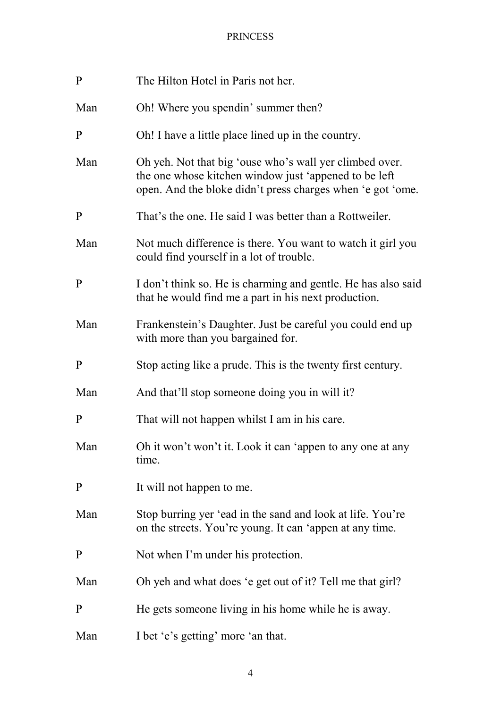| $\mathbf{P}$ | The Hilton Hotel in Paris not her.                                                                                                                                             |
|--------------|--------------------------------------------------------------------------------------------------------------------------------------------------------------------------------|
| Man          | Oh! Where you spendin' summer then?                                                                                                                                            |
| $\mathbf{P}$ | Oh! I have a little place lined up in the country.                                                                                                                             |
| Man          | Oh yeh. Not that big 'ouse who's wall yer climbed over.<br>the one whose kitchen window just 'appened to be left<br>open. And the bloke didn't press charges when 'e got 'ome. |
| $\mathbf{P}$ | That's the one. He said I was better than a Rottweiler.                                                                                                                        |
| Man          | Not much difference is there. You want to watch it girl you<br>could find yourself in a lot of trouble.                                                                        |
| $\mathbf{P}$ | I don't think so. He is charming and gentle. He has also said<br>that he would find me a part in his next production.                                                          |
| Man          | Frankenstein's Daughter. Just be careful you could end up<br>with more than you bargained for.                                                                                 |
| ${\bf P}$    | Stop acting like a prude. This is the twenty first century.                                                                                                                    |
| Man          | And that'll stop someone doing you in will it?                                                                                                                                 |
| $\mathbf{P}$ | That will not happen whilst I am in his care.                                                                                                                                  |
| Man          | Oh it won't won't it. Look it can 'appen to any one at any<br>time.                                                                                                            |
| $\mathbf{P}$ | It will not happen to me.                                                                                                                                                      |
| Man          | Stop burring yer 'ead in the sand and look at life. You're<br>on the streets. You're young. It can 'appen at any time.                                                         |
| $\mathbf{P}$ | Not when I'm under his protection.                                                                                                                                             |
| Man          | Oh yeh and what does 'e get out of it? Tell me that girl?                                                                                                                      |
| $\mathbf{P}$ | He gets someone living in his home while he is away.                                                                                                                           |
| Man          | I bet 'e's getting' more 'an that.                                                                                                                                             |